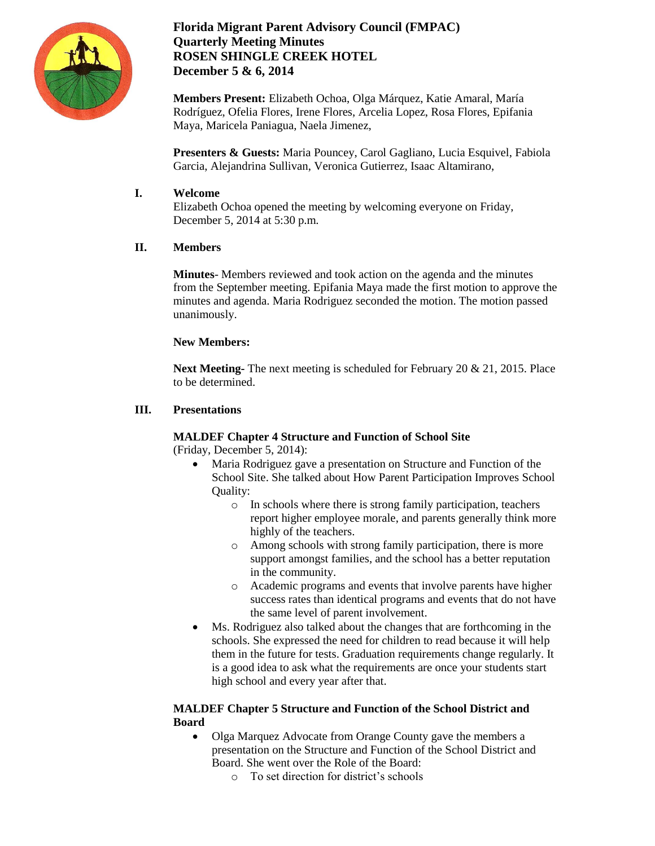

# **Florida Migrant Parent Advisory Council (FMPAC) Quarterly Meeting Minutes ROSEN SHINGLE CREEK HOTEL December 5 & 6, 2014**

**Members Present:** Elizabeth Ochoa, Olga Márquez, Katie Amaral, María Rodríguez, Ofelia Flores, Irene Flores, Arcelia Lopez, Rosa Flores, Epifania Maya, Maricela Paniagua, Naela Jimenez,

**Presenters & Guests:** Maria Pouncey, Carol Gagliano, Lucia Esquivel, Fabiola Garcia, Alejandrina Sullivan, Veronica Gutierrez, Isaac Altamirano,

# **I. Welcome**

Elizabeth Ochoa opened the meeting by welcoming everyone on Friday, December 5, 2014 at 5:30 p.m.

# **II. Members**

**Minutes**- Members reviewed and took action on the agenda and the minutes from the September meeting. Epifania Maya made the first motion to approve the minutes and agenda. Maria Rodriguez seconded the motion. The motion passed unanimously.

# **New Members:**

**Next Meeting-** The next meeting is scheduled for February 20 & 21, 2015. Place to be determined.

# **III. Presentations**

# **MALDEF Chapter 4 Structure and Function of School Site**

(Friday, December 5, 2014):

- Maria Rodriguez gave a presentation on Structure and Function of the School Site. She talked about How Parent Participation Improves School Quality:
	- o In schools where there is strong family participation, teachers report higher employee morale, and parents generally think more highly of the teachers.
	- o Among schools with strong family participation, there is more support amongst families, and the school has a better reputation in the community.
	- o Academic programs and events that involve parents have higher success rates than identical programs and events that do not have the same level of parent involvement.
- Ms. Rodriguez also talked about the changes that are forthcoming in the schools. She expressed the need for children to read because it will help them in the future for tests. Graduation requirements change regularly. It is a good idea to ask what the requirements are once your students start high school and every year after that.

## **MALDEF Chapter 5 Structure and Function of the School District and Board**

- Olga Marquez Advocate from Orange County gave the members a presentation on the Structure and Function of the School District and Board. She went over the Role of the Board:
	- o To set direction for district's schools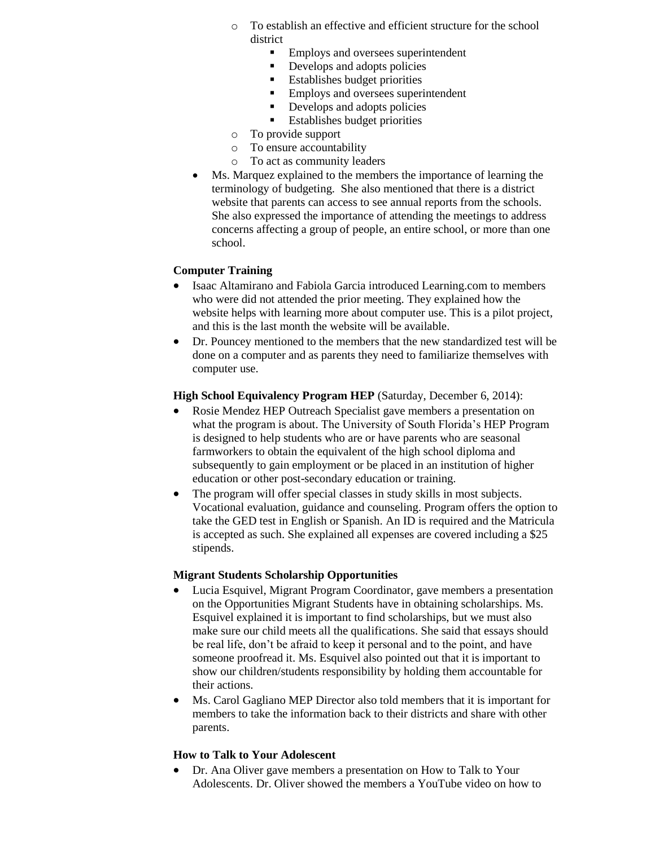- o To establish an effective and efficient structure for the school district
	- **Employs and oversees superintendent**
	- Develops and adopts policies
	- **Establishes budget priorities**
	- Employs and oversees superintendent
	- Develops and adopts policies
	- **Establishes budget priorities**
- o To provide support
- o To ensure accountability
- o To act as community leaders
- Ms. Marquez explained to the members the importance of learning the terminology of budgeting. She also mentioned that there is a district website that parents can access to see annual reports from the schools. She also expressed the importance of attending the meetings to address concerns affecting a group of people, an entire school, or more than one school.

## **Computer Training**

- Isaac Altamirano and Fabiola Garcia introduced Learning.com to members who were did not attended the prior meeting. They explained how the website helps with learning more about computer use. This is a pilot project, and this is the last month the website will be available.
- Dr. Pouncey mentioned to the members that the new standardized test will be done on a computer and as parents they need to familiarize themselves with computer use.

## **High School Equivalency Program HEP** (Saturday, December 6, 2014):

- Rosie Mendez HEP Outreach Specialist gave members a presentation on what the program is about. The University of South Florida's HEP Program is designed to help students who are or have parents who are seasonal farmworkers to obtain the equivalent of the high school diploma and subsequently to gain employment or be placed in an institution of higher education or other post-secondary education or training.
- The program will offer special classes in study skills in most subjects. Vocational evaluation, guidance and counseling. Program offers the option to take the GED test in English or Spanish. An ID is required and the Matricula is accepted as such. She explained all expenses are covered including a \$25 stipends.

## **Migrant Students Scholarship Opportunities**

- Lucia Esquivel, Migrant Program Coordinator, gave members a presentation on the Opportunities Migrant Students have in obtaining scholarships. Ms. Esquivel explained it is important to find scholarships, but we must also make sure our child meets all the qualifications. She said that essays should be real life, don't be afraid to keep it personal and to the point, and have someone proofread it. Ms. Esquivel also pointed out that it is important to show our children/students responsibility by holding them accountable for their actions.
- Ms. Carol Gagliano MEP Director also told members that it is important for members to take the information back to their districts and share with other parents.

# **How to Talk to Your Adolescent**

 Dr. Ana Oliver gave members a presentation on How to Talk to Your Adolescents. Dr. Oliver showed the members a YouTube video on how to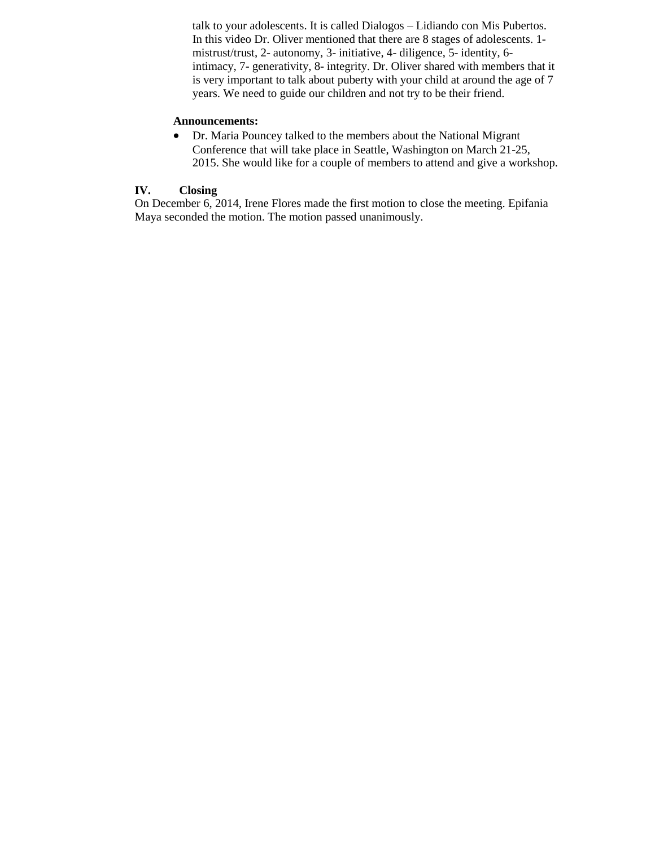talk to your adolescents. It is called Dialogos – Lidiando con Mis Pubertos. In this video Dr. Oliver mentioned that there are 8 stages of adolescents. 1 mistrust/trust, 2- autonomy, 3- initiative, 4- diligence, 5- identity, 6 intimacy, 7- generativity, 8- integrity. Dr. Oliver shared with members that it is very important to talk about puberty with your child at around the age of 7 years. We need to guide our children and not try to be their friend.

#### **Announcements:**

 Dr. Maria Pouncey talked to the members about the National Migrant Conference that will take place in Seattle, Washington on March 21-25, 2015. She would like for a couple of members to attend and give a workshop.

#### **IV. Closing**

On December 6, 2014, Irene Flores made the first motion to close the meeting. Epifania Maya seconded the motion. The motion passed unanimously.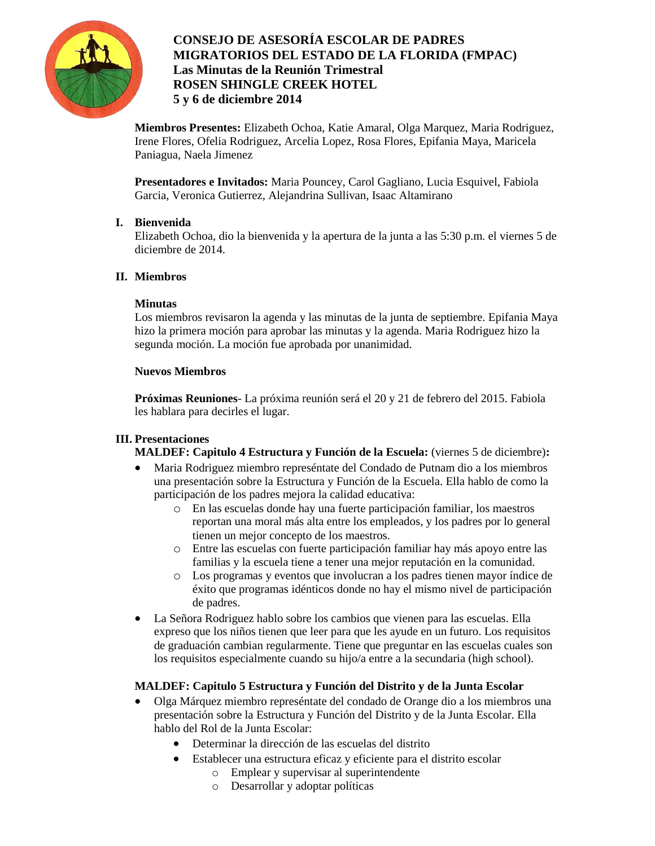

# **CONSEJO DE ASESORÍA ESCOLAR DE PADRES MIGRATORIOS DEL ESTADO DE LA FLORIDA (FMPAC) Las Minutas de la Reunión Trimestral ROSEN SHINGLE CREEK HOTEL 5 y 6 de diciembre 2014**

**Miembros Presentes:** Elizabeth Ochoa, Katie Amaral, Olga Marquez, Maria Rodriguez, Irene Flores, Ofelia Rodriguez, Arcelia Lopez, Rosa Flores, Epifania Maya, Maricela Paniagua, Naela Jimenez

**Presentadores e Invitados:** Maria Pouncey, Carol Gagliano, Lucia Esquivel, Fabiola Garcia, Veronica Gutierrez, Alejandrina Sullivan, Isaac Altamirano

## **I. Bienvenida**

Elizabeth Ochoa, dio la bienvenida y la apertura de la junta a las 5:30 p.m. el viernes 5 de diciembre de 2014.

## **II. Miembros**

## **Minutas**

Los miembros revisaron la agenda y las minutas de la junta de septiembre. Epifania Maya hizo la primera moción para aprobar las minutas y la agenda. Maria Rodriguez hizo la segunda moción. La moción fue aprobada por unanimidad.

## **Nuevos Miembros**

**Próximas Reuniones**- La próxima reunión será el 20 y 21 de febrero del 2015. Fabiola les hablara para decirles el lugar.

# **III. Presentaciones**

**MALDEF: Capitulo 4 Estructura y Función de la Escuela:** (viernes 5 de diciembre)**:**

- Maria Rodriguez miembro represéntate del Condado de Putnam dio a los miembros una presentación sobre la Estructura y Función de la Escuela. Ella hablo de como la participación de los padres mejora la calidad educativa:
	- o En las escuelas donde hay una fuerte participación familiar, los maestros reportan una moral más alta entre los empleados, y los padres por lo general tienen un mejor concepto de los maestros.
	- o Entre las escuelas con fuerte participación familiar hay más apoyo entre las familias y la escuela tiene a tener una mejor reputación en la comunidad.
	- o Los programas y eventos que involucran a los padres tienen mayor índice de éxito que programas idénticos donde no hay el mismo nivel de participación de padres.
- La Señora Rodriguez hablo sobre los cambios que vienen para las escuelas. Ella expreso que los niños tienen que leer para que les ayude en un futuro. Los requisitos de graduación cambian regularmente. Tiene que preguntar en las escuelas cuales son los requisitos especialmente cuando su hijo/a entre a la secundaria (high school).

# **MALDEF: Capitulo 5 Estructura y Función del Distrito y de la Junta Escolar**

- Olga Márquez miembro represéntate del condado de Orange dio a los miembros una presentación sobre la Estructura y Función del Distrito y de la Junta Escolar. Ella hablo del Rol de la Junta Escolar:
	- Determinar la dirección de las escuelas del distrito
	- Establecer una estructura eficaz y eficiente para el distrito escolar
		- o Emplear y supervisar al superintendente
		- o Desarrollar y adoptar políticas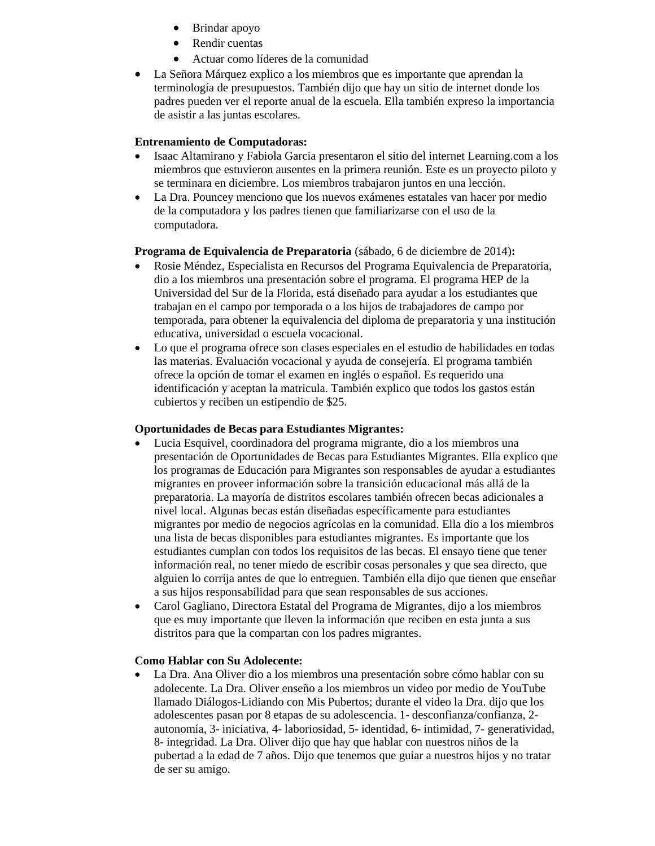- Brindar apoyo
- Rendir cuentas
- Actuar como líderes de la comunidad
- La Señora Márquez explico a los miembros que es importante que aprendan la terminología de presupuestos. También dijo que hay un sitio de internet donde los padres pueden ver el reporte anual de la escuela. Ella también expreso la importancia de asistir a las juntas escolares.

#### **Entrenamiento de Computadoras:**

- Isaac Altamirano y Fabiola Garcia presentaron el sitio del internet Learning.com a los miembros que estuvieron ausentes en la primera reunión. Este es un proyecto piloto y se terminara en diciembre. Los miembros trabajaron juntos en una lección.
- La Dra. Pouncey menciono que los nuevos exámenes estatales van hacer por medio de la computadora y los padres tienen que familiarizarse con el uso de la computadora.

#### **Programa de Equivalencia de Preparatoria** (sábado, 6 de diciembre de 2014)**:**

- Rosie Méndez, Especialista en Recursos del Programa Equivalencia de Preparatoria, dio a los miembros una presentación sobre el programa. El programa HEP de la Universidad del Sur de la Florida, está diseñado para ayudar a los estudiantes que trabajan en el campo por temporada o a los hijos de trabajadores de campo por temporada, para obtener la equivalencia del diploma de preparatoria y una institución educativa, universidad o escuela vocacional.
- Lo que el programa ofrece son clases especiales en el estudio de habilidades en todas las materias. Evaluación vocacional y ayuda de consejería. El programa también ofrece la opción de tomar el examen en inglés o español. Es requerido una identificación y aceptan la matricula. También explico que todos los gastos están cubiertos y reciben un estipendio de \$25.

#### **Oportunidades de Becas para Estudiantes Migrantes:**

- Lucia Esquivel, coordinadora del programa migrante, dio a los miembros una presentación de Oportunidades de Becas para Estudiantes Migrantes. Ella explico que los programas de Educación para Migrantes son responsables de ayudar a estudiantes migrantes en proveer información sobre la transición educacional más allá de la preparatoria. La mayoría de distritos escolares también ofrecen becas adicionales a nivel local. Algunas becas están diseñadas específicamente para estudiantes migrantes por medio de negocios agrícolas en la comunidad. Ella dio a los miembros una lista de becas disponibles para estudiantes migrantes. Es importante que los estudiantes cumplan con todos los requisitos de las becas. El ensayo tiene que tener información real, no tener miedo de escribir cosas personales y que sea directo, que alguien lo corrija antes de que lo entreguen. También ella dijo que tienen que enseñar a sus hijos responsabilidad para que sean responsables de sus acciones.
- Carol Gagliano, Directora Estatal del Programa de Migrantes, dijo a los miembros que es muy importante que lleven la información que reciben en esta junta a sus distritos para que la compartan con los padres migrantes.

## **Como Hablar con Su Adolecente:**

 La Dra. Ana Oliver dio a los miembros una presentación sobre cómo hablar con su adolecente. La Dra. Oliver enseño a los miembros un video por medio de YouTube llamado Diálogos-Lidiando con Mis Pubertos; durante el video la Dra. dijo que los adolescentes pasan por 8 etapas de su adolescencia. 1- desconfianza/confianza, 2 autonomía, 3- iniciativa, 4- laboriosidad, 5- identidad, 6- intimidad, 7- generatividad, 8- integridad. La Dra. Oliver dijo que hay que hablar con nuestros niños de la pubertad a la edad de 7 años. Dijo que tenemos que guiar a nuestros hijos y no tratar de ser su amigo.